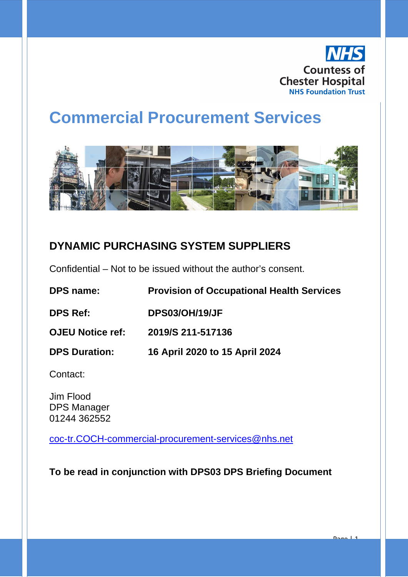

Page | 1

# **Commercial Procurement Services**



### **DYNAMIC PURCHASING SYSTEM SUPPLIERS**

Confidential – Not to be issued without the author's consent.

| <b>DPS name:</b>        | <b>Provision of Occupational Health Services</b> |
|-------------------------|--------------------------------------------------|
| <b>DPS Ref:</b>         | <b>DPS03/OH/19/JF</b>                            |
| <b>OJEU Notice ref:</b> | 2019/S 211-517136                                |
| <b>DPS Duration:</b>    | 16 April 2020 to 15 April 2024                   |

Contact:

Jim Flood DPS Manager 01244 362552

[coc-tr.COCH-commercial-procurement-services@nhs.net](mailto:coc-tr.COCH-commercial-procurement-services@nhs.net)

**To be read in conjunction with DPS03 DPS Briefing Document**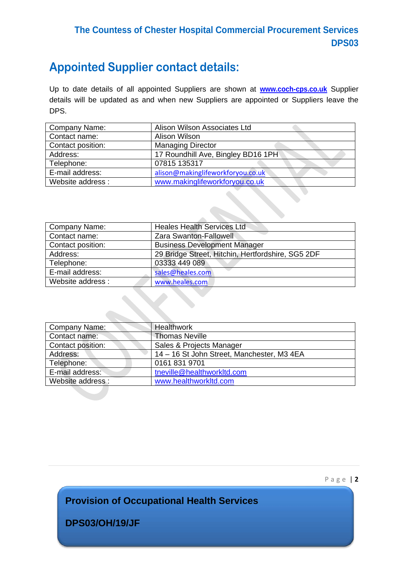#### **The Countess of Chester Hospital Commercial Procurement Services DPS03**

## **Appointed Supplier contact details:**

Up to date details of all appointed Suppliers are shown at **[www.coch-cps.co.uk](http://www.coch-cps.co.uk/)** Supplier details will be updated as and when new Suppliers are appointed or Suppliers leave the DPS.

| Company Name:     | Alison Wilson Associates Ltd       |
|-------------------|------------------------------------|
| Contact name:     | Alison Wilson                      |
| Contact position: | <b>Managing Director</b>           |
| Address:          | 17 Roundhill Ave, Bingley BD16 1PH |
| Telephone:        | 07815 135317                       |
| E-mail address:   | alison@makinglifeworkforyou.co.uk  |
| Website address:  | www.makinglifeworkforyou.co.uk     |

| Company Name:     | <b>Heales Health Services Ltd</b>                 |
|-------------------|---------------------------------------------------|
| Contact name:     | Zara Swanton-Fallowell                            |
| Contact position: | <b>Business Development Manager</b>               |
| Address:          | 29 Bridge Street, Hitchin, Hertfordshire, SG5 2DF |
| Telephone:        | 03333 449 089                                     |
| E-mail address:   | sales@heales.com                                  |
| Website address:  | www.heales.com                                    |

| Company Name:     | <b>Healthwork</b>                          |
|-------------------|--------------------------------------------|
| Contact name:     | <b>Thomas Neville</b>                      |
| Contact position: | Sales & Projects Manager                   |
| Address:          | 14 - 16 St John Street, Manchester, M3 4EA |
| Telephone:        | 0161 831 9701                              |
| E-mail address:   | tneville@healthworkltd.com                 |
| Website address:  | www.healthworkltd.com                      |

Page | **2**

**Provision of Occupational Health Services**

**DPS03/OH/19/JF**